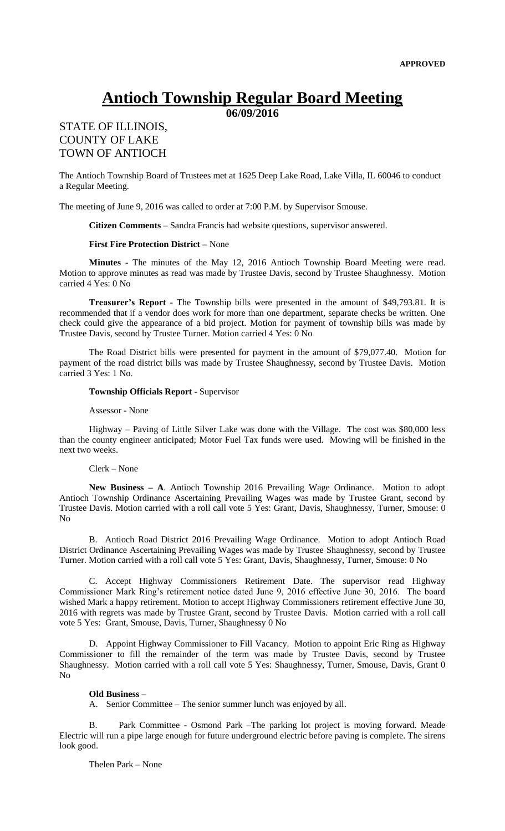# **Antioch Township Regular Board Meeting**

**06/09/2016**

## STATE OF ILLINOIS, COUNTY OF LAKE TOWN OF ANTIOCH

The Antioch Township Board of Trustees met at 1625 Deep Lake Road, Lake Villa, IL 60046 to conduct a Regular Meeting.

The meeting of June 9, 2016 was called to order at 7:00 P.M. by Supervisor Smouse.

**Citizen Comments** – Sandra Francis had website questions, supervisor answered.

### **First Fire Protection District –** None

**Minutes** - The minutes of the May 12, 2016 Antioch Township Board Meeting were read. Motion to approve minutes as read was made by Trustee Davis, second by Trustee Shaughnessy. Motion carried 4 Yes: 0 No

**Treasurer's Report** - The Township bills were presented in the amount of \$49,793.81. It is recommended that if a vendor does work for more than one department, separate checks be written. One check could give the appearance of a bid project. Motion for payment of township bills was made by Trustee Davis, second by Trustee Turner. Motion carried 4 Yes: 0 No

The Road District bills were presented for payment in the amount of \$79,077.40. Motion for payment of the road district bills was made by Trustee Shaughnessy, second by Trustee Davis. Motion carried 3 Yes: 1 No.

#### **Township Officials Report** - Supervisor

#### Assessor - None

Highway – Paving of Little Silver Lake was done with the Village. The cost was \$80,000 less than the county engineer anticipated; Motor Fuel Tax funds were used. Mowing will be finished in the next two weeks.

#### Clerk – None

**New Business – A**. Antioch Township 2016 Prevailing Wage Ordinance. Motion to adopt Antioch Township Ordinance Ascertaining Prevailing Wages was made by Trustee Grant, second by Trustee Davis. Motion carried with a roll call vote 5 Yes: Grant, Davis, Shaughnessy, Turner, Smouse: 0 No

B. Antioch Road District 2016 Prevailing Wage Ordinance. Motion to adopt Antioch Road District Ordinance Ascertaining Prevailing Wages was made by Trustee Shaughnessy, second by Trustee Turner. Motion carried with a roll call vote 5 Yes: Grant, Davis, Shaughnessy, Turner, Smouse: 0 No

C. Accept Highway Commissioners Retirement Date. The supervisor read Highway Commissioner Mark Ring's retirement notice dated June 9, 2016 effective June 30, 2016. The board wished Mark a happy retirement. Motion to accept Highway Commissioners retirement effective June 30, 2016 with regrets was made by Trustee Grant, second by Trustee Davis. Motion carried with a roll call vote 5 Yes: Grant, Smouse, Davis, Turner, Shaughnessy 0 No

D. Appoint Highway Commissioner to Fill Vacancy. Motion to appoint Eric Ring as Highway Commissioner to fill the remainder of the term was made by Trustee Davis, second by Trustee Shaughnessy. Motion carried with a roll call vote 5 Yes: Shaughnessy, Turner, Smouse, Davis, Grant 0 No

#### **Old Business –**

A. Senior Committee – The senior summer lunch was enjoyed by all.

B. Park Committee **-** Osmond Park –The parking lot project is moving forward. Meade Electric will run a pipe large enough for future underground electric before paving is complete. The sirens look good.

Thelen Park – None